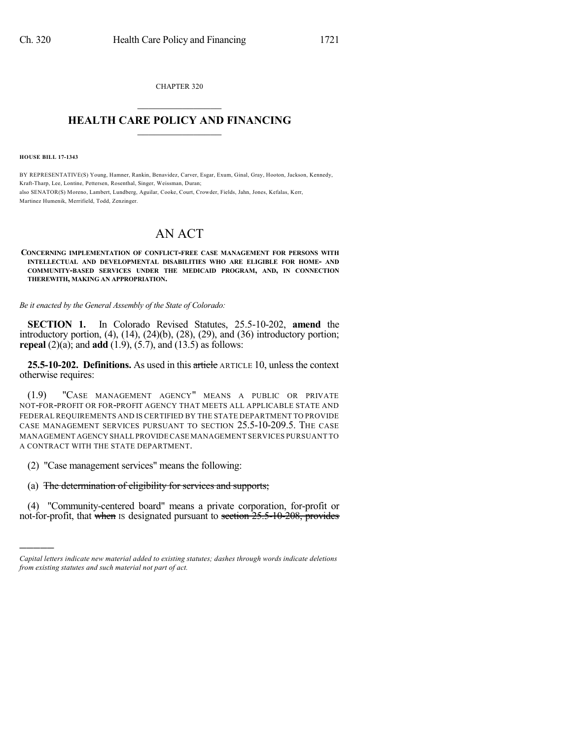CHAPTER 320  $\mathcal{L}_\text{max}$  . The set of the set of the set of the set of the set of the set of the set of the set of the set of the set of the set of the set of the set of the set of the set of the set of the set of the set of the set

## **HEALTH CARE POLICY AND FINANCING**  $\_$   $\_$   $\_$   $\_$   $\_$   $\_$   $\_$   $\_$

**HOUSE BILL 17-1343**

)))))

BY REPRESENTATIVE(S) Young, Hamner, Rankin, Benavidez, Carver, Esgar, Exum, Ginal, Gray, Hooton, Jackson, Kennedy, Kraft-Tharp, Lee, Lontine, Pettersen, Rosenthal, Singer, Weissman, Duran; also SENATOR(S) Moreno, Lambert, Lundberg, Aguilar, Cooke, Court, Crowder, Fields, Jahn, Jones, Kefalas, Kerr, Martinez Humenik, Merrifield, Todd, Zenzinger.

## AN ACT

**CONCERNING IMPLEMENTATION OF CONFLICT-FREE CASE MANAGEMENT FOR PERSONS WITH INTELLECTUAL AND DEVELOPMENTAL DISABILITIES WHO ARE ELIGIBLE FOR HOME- AND COMMUNITY-BASED SERVICES UNDER THE MEDICAID PROGRAM, AND, IN CONNECTION THEREWITH, MAKING AN APPROPRIATION.**

*Be it enacted by the General Assembly of the State of Colorado:*

**SECTION 1.** In Colorado Revised Statutes, 25.5-10-202, **amend** the introductory portion, (4), (14), (24)(b), (28), (29), and (36) introductory portion; **repeal** (2)(a); and **add** (1.9), (5.7), and (13.5) as follows:

**25.5-10-202. Definitions.** As used in this article ARTICLE 10, unless the context otherwise requires:

(1.9) "CASE MANAGEMENT AGENCY" MEANS A PUBLIC OR PRIVATE NOT-FOR-PROFIT OR FOR-PROFIT AGENCY THAT MEETS ALL APPLICABLE STATE AND FEDERAL REQUIREMENTS AND IS CERTIFIED BY THE STATE DEPARTMENT TO PROVIDE CASE MANAGEMENT SERVICES PURSUANT TO SECTION 25.5-10-209.5. THE CASE MANAGEMENT AGENCY SHALL PROVIDECASE MANAGEMENT SERVICES PURSUANT TO A CONTRACT WITH THE STATE DEPARTMENT.

(2) "Case management services" means the following:

## (a) The determination of eligibility for services and supports;

(4) "Community-centered board" means a private corporation, for-profit or not-for-profit, that when Is designated pursuant to section 25.5-10-208, provides

*Capital letters indicate new material added to existing statutes; dashes through words indicate deletions from existing statutes and such material not part of act.*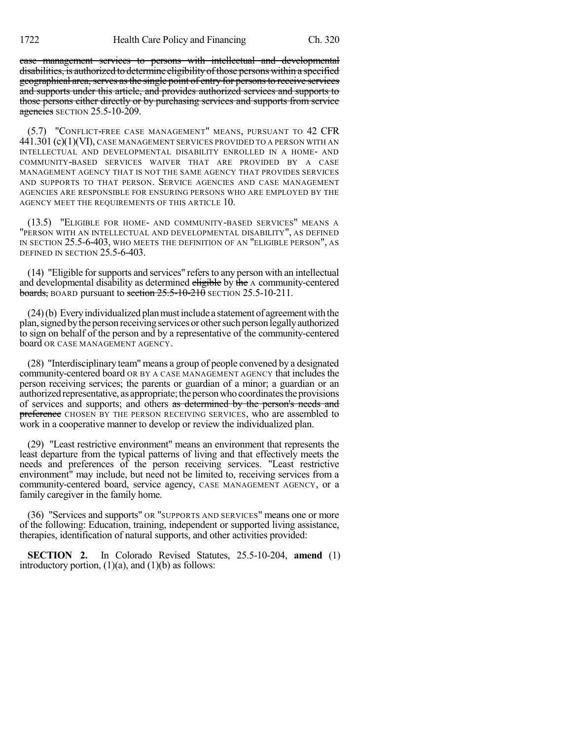case management services to persons with intellectual and developmental disabilities, is authorized to determine eligibility of those persons within a specified geographical area, serves as the single point of entry for persons to receive services and supports under this article, and provides authorized services and supports to those persons either directly or by purchasing services and supports from service agencies SECTION 25.5-10-209.

(5.7) "CONFLICT-FREE CASE MANAGEMENT" MEANS, PURSUANT TO 42 CFR 441.301 (c)(1)(VI), CASE MANAGEMENT SERVICES PROVIDED TO A PERSON WITH AN INTELLECTUAL AND DEVELOPMENTAL DISABILITY ENROLLED IN A HOME- AND COMMUNITY-BASED SERVICES WAIVER THAT ARE PROVIDED BY A CASE MANAGEMENT AGENCY THAT IS NOT THE SAME AGENCY THAT PROVIDES SERVICES AND SUPPORTS TO THAT PERSON. SERVICE AGENCIES AND CASE MANAGEMENT AGENCIES ARE RESPONSIBLE FOR ENSURING PERSONS WHO ARE EMPLOYED BY THE AGENCY MEET THE REQUIREMENTS OF THIS ARTICLE 10.

(13.5) "ELIGIBLE FOR HOME- AND COMMUNITY-BASED SERVICES" MEANS A "PERSON WITH AN INTELLECTUAL AND DEVELOPMENTAL DISABILITY", AS DEFINED IN SECTION 25.5-6-403, WHO MEETS THE DEFINITION OF AN "ELIGIBLE PERSON", AS DEFINED IN SECTION 25.5-6-403.

(14) "Eligible forsupports and services" refersto any person with an intellectual and developmental disability as determined eligible by the A community-centered boards, BOARD pursuant to section  $25.5$ -10-210 SECTION 25.5-10-211.

 $(24)$ (b) Every individualized plan must include a statement of agreement with the plan, signed by the person receiving services or other such person legally authorized to sign on behalf of the person and by a representative of the community-centered board OR CASE MANAGEMENT AGENCY.

(28) "Interdisciplinary team" means a group of people convened by a designated community-centered board OR BY A CASE MANAGEMENT AGENCY that includes the person receiving services; the parents or guardian of a minor; a guardian or an authorized representative, as appropriate; the person who coordinates the provisions of services and supports; and others as determined by the person's needs and preference CHOSEN BY THE PERSON RECEIVING SERVICES, who are assembled to work in a cooperative manner to develop or review the individualized plan.

(29) "Least restrictive environment" means an environment that represents the least departure from the typical patterns of living and that effectively meets the needs and preferences of the person receiving services. "Least restrictive environment" may include, but need not be limited to, receiving services from a community-centered board, service agency, CASE MANAGEMENT AGENCY, or a family caregiver in the family home.

(36) "Services and supports" OR "SUPPORTS AND SERVICES" means one or more of the following: Education, training, independent or supported living assistance, therapies, identification of natural supports, and other activities provided:

**SECTION 2.** In Colorado Revised Statutes, 25.5-10-204, **amend** (1) introductory portion,  $(1)(a)$ , and  $(1)(b)$  as follows: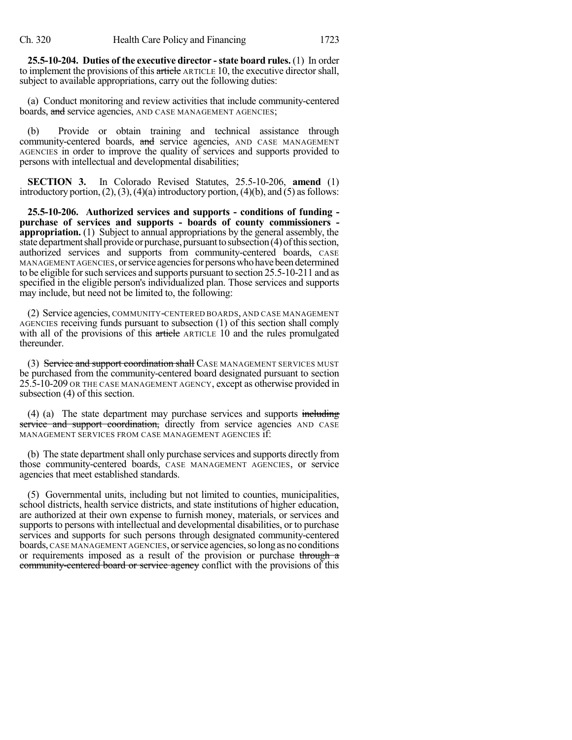**25.5-10-204. Duties of the executive director -state board rules.** (1) In order to implement the provisions of this article ARTICLE 10, the executive director shall, subject to available appropriations, carry out the following duties:

(a) Conduct monitoring and review activities that include community-centered boards, and service agencies, AND CASE MANAGEMENT AGENCIES;

(b) Provide or obtain training and technical assistance through community-centered boards, and service agencies, AND CASE MANAGEMENT AGENCIES in order to improve the quality of services and supports provided to persons with intellectual and developmental disabilities;

**SECTION 3.** In Colorado Revised Statutes, 25.5-10-206, **amend** (1) introductory portion,  $(2)$ ,  $(3)$ ,  $(4)(a)$  introductory portion,  $(4)(b)$ , and  $(5)$  as follows:

**25.5-10-206. Authorized services and supports - conditions of funding purchase of services and supports - boards of county commissioners appropriation.** (1) Subject to annual appropriations by the general assembly, the state department shall provide or purchase, pursuant to subsection (4) of this section, authorized services and supports from community-centered boards, CASE MANAGEMENT AGENCIES, or service agencies for persons who have been determined to be eligible for such services and supports pursuant to section 25.5-10-211 and as specified in the eligible person's individualized plan. Those services and supports may include, but need not be limited to, the following:

(2) Service agencies, COMMUNITY-CENTERED BOARDS, AND CASE MANAGEMENT AGENCIES receiving funds pursuant to subsection (1) of this section shall comply with all of the provisions of this article ARTICLE 10 and the rules promulgated thereunder.

(3) Service and support coordination shall CASE MANAGEMENT SERVICES MUST be purchased from the community-centered board designated pursuant to section 25.5-10-209 OR THE CASE MANAGEMENT AGENCY, except as otherwise provided in subsection (4) of this section.

(4) (a) The state department may purchase services and supports including service and support coordination, directly from service agencies AND CASE MANAGEMENT SERVICES FROM CASE MANAGEMENT AGENCIES if:

(b) The state department shall only purchase services and supports directly from those community-centered boards, CASE MANAGEMENT AGENCIES, or service agencies that meet established standards.

(5) Governmental units, including but not limited to counties, municipalities, school districts, health service districts, and state institutions of higher education, are authorized at their own expense to furnish money, materials, or services and supports to persons with intellectual and developmental disabilities, or to purchase services and supports for such persons through designated community-centered boards, CASE MANAGEMENT AGENCIES, or service agencies, so long as no conditions or requirements imposed as a result of the provision or purchase through a community-centered board or service agency conflict with the provisions of this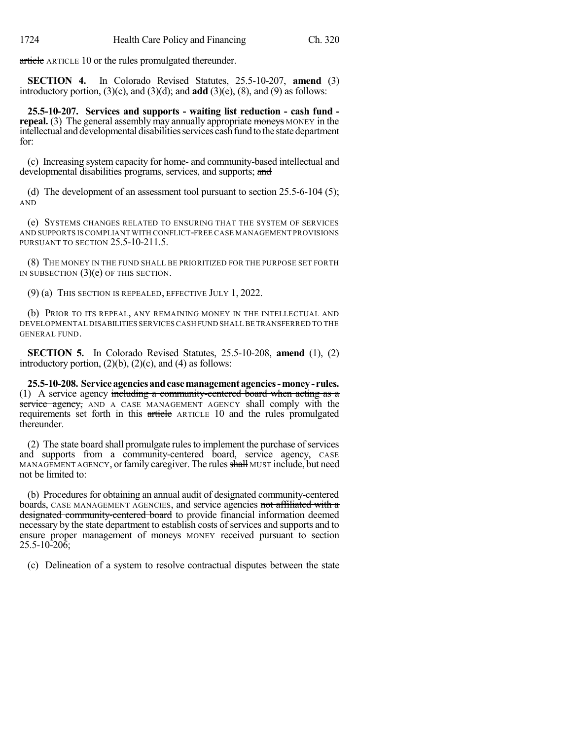article ARTICLE 10 or the rules promulgated thereunder.

**SECTION 4.** In Colorado Revised Statutes, 25.5-10-207, **amend** (3) introductory portion, (3)(c), and (3)(d); and **add** (3)(e), (8), and (9) as follows:

**25.5-10-207. Services and supports - waiting list reduction - cash fund repeal.** (3) The general assembly may annually appropriate moneys MONEY in the intellectual and developmental disabilities services cash fund to the state department for:

(c) Increasing system capacity for home- and community-based intellectual and developmental disabilities programs, services, and supports; and

(d) The development of an assessment tool pursuant to section 25.5-6-104 (5); AND

(e) SYSTEMS CHANGES RELATED TO ENSURING THAT THE SYSTEM OF SERVICES AND SUPPORTS IS COMPLIANT WITH CONFLICT-FREE CASE MANAGEMENT PROVISIONS PURSUANT TO SECTION 25.5-10-211.5.

(8) THE MONEY IN THE FUND SHALL BE PRIORITIZED FOR THE PURPOSE SET FORTH IN SUBSECTION  $(3)(e)$  OF THIS SECTION.

(9) (a) THIS SECTION IS REPEALED, EFFECTIVE JULY 1, 2022.

(b) PRIOR TO ITS REPEAL, ANY REMAINING MONEY IN THE INTELLECTUAL AND DEVELOPMENTAL DISABILITIES SERVICESCASH FUND SHALL BE TRANSFERRED TO THE GENERAL FUND.

**SECTION 5.** In Colorado Revised Statutes, 25.5-10-208, **amend** (1), (2) introductory portion,  $(2)(b)$ ,  $(2)(c)$ , and  $(4)$  as follows:

**25.5-10-208. Serviceagenciesandcasemanagement agencies-money- rules.** (1) A service agency including a community-centered board when acting as a service agency, AND A CASE MANAGEMENT AGENCY shall comply with the requirements set forth in this article ARTICLE 10 and the rules promulgated thereunder.

(2) The state board shall promulgate rules to implement the purchase of services and supports from a community-centered board, service agency, CASE MANAGEMENT AGENCY, or family caregiver. The rules shall MUST include, but need not be limited to:

(b) Procedures for obtaining an annual audit of designated community-centered boards, CASE MANAGEMENT AGENCIES, and service agencies not affiliated with a designated community-centered board to provide financial information deemed necessary by the state department to establish costs of services and supports and to ensure proper management of moneys MONEY received pursuant to section 25.5-10-206;

(c) Delineation of a system to resolve contractual disputes between the state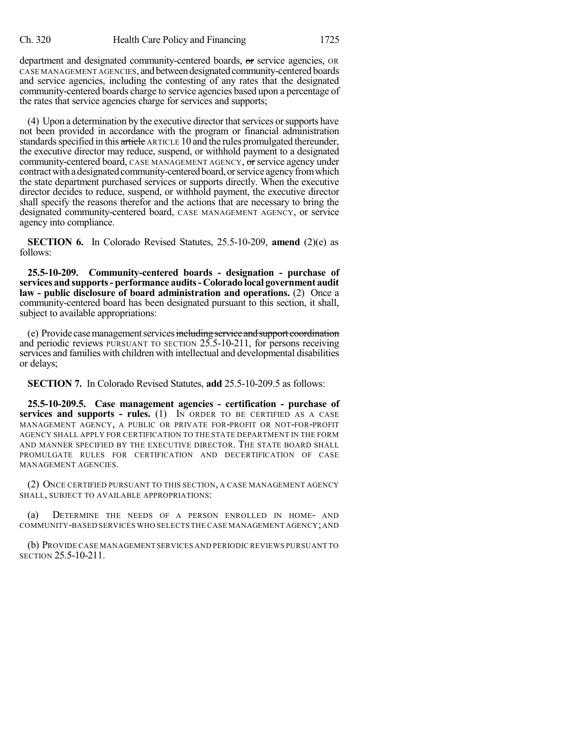department and designated community-centered boards, or service agencies, OR CASE MANAGEMENT AGENCIES, and between designated community-centered boards and service agencies, including the contesting of any rates that the designated community-centered boards charge to service agencies based upon a percentage of the rates that service agencies charge for services and supports;

(4) Upon a determination by the executive director that services or supports have not been provided in accordance with the program or financial administration standards specified in this article ARTICLE 10 and the rules promulgated thereunder, the executive director may reduce, suspend, or withhold payment to a designated community-centered board, CASE MANAGEMENT AGENCY, or service agency under contract with a designated community-centered board, or service agency from which the state department purchased services or supports directly. When the executive director decides to reduce, suspend, or withhold payment, the executive director shall specify the reasons therefor and the actions that are necessary to bring the designated community-centered board, CASE MANAGEMENT AGENCY, or service agency into compliance.

**SECTION 6.** In Colorado Revised Statutes, 25.5-10-209, **amend** (2)(e) as follows:

**25.5-10-209. Community-centered boards - designation - purchase of services and supports- performance audits- Colorado local government audit law - public disclosure of board administration and operations.** (2) Once a community-centered board has been designated pursuant to this section, it shall, subject to available appropriations:

(e) Provide case management services including service and support coordination and periodic reviews PURSUANT TO SECTION 25.5-10-211, for persons receiving services and families with children with intellectual and developmental disabilities or delays;

**SECTION 7.** In Colorado Revised Statutes, **add** 25.5-10-209.5 as follows:

**25.5-10-209.5. Case management agencies - certification - purchase of services and supports - rules.** (1) IN ORDER TO BE CERTIFIED AS A CASE MANAGEMENT AGENCY, A PUBLIC OR PRIVATE FOR-PROFIT OR NOT-FOR-PROFIT AGENCY SHALL APPLY FOR CERTIFICATION TO THE STATE DEPARTMENT IN THE FORM AND MANNER SPECIFIED BY THE EXECUTIVE DIRECTOR. THE STATE BOARD SHALL PROMULGATE RULES FOR CERTIFICATION AND DECERTIFICATION OF CASE MANAGEMENT AGENCIES.

(2) ONCE CERTIFIED PURSUANT TO THIS SECTION, A CASE MANAGEMENT AGENCY SHALL, SUBJECT TO AVAILABLE APPROPRIATIONS:

(a) DETERMINE THE NEEDS OF A PERSON ENROLLED IN HOME- AND COMMUNITY-BASED SERVICES WHO SELECTS THE CASE MANAGEMENT AGENCY;AND

(b) PROVIDE CASE MANAGEMENT SERVICES AND PERIODIC REVIEWS PURSUANT TO SECTION 25.5-10-211.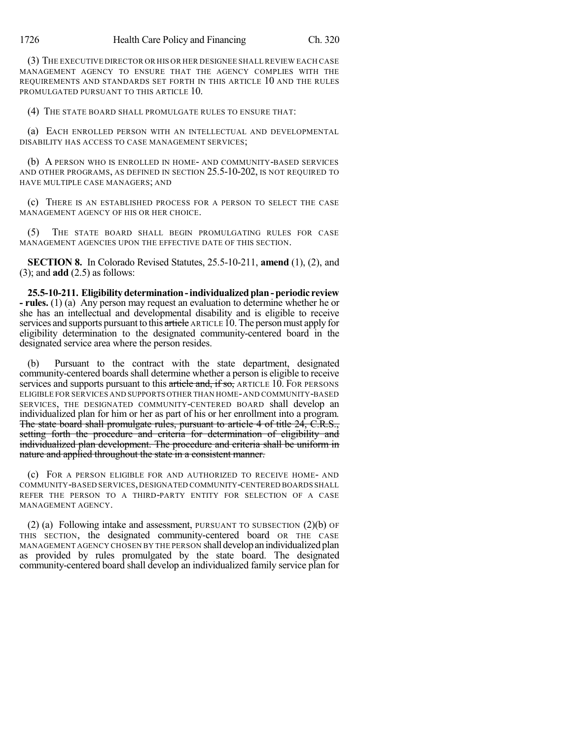(3) THE EXECUTIVE DIRECTOR OR HIS OR HER DESIGNEE SHALL REVIEW EACH CASE MANAGEMENT AGENCY TO ENSURE THAT THE AGENCY COMPLIES WITH THE REQUIREMENTS AND STANDARDS SET FORTH IN THIS ARTICLE 10 AND THE RULES PROMULGATED PURSUANT TO THIS ARTICLE 10.

(4) THE STATE BOARD SHALL PROMULGATE RULES TO ENSURE THAT:

(a) EACH ENROLLED PERSON WITH AN INTELLECTUAL AND DEVELOPMENTAL DISABILITY HAS ACCESS TO CASE MANAGEMENT SERVICES;

(b) A PERSON WHO IS ENROLLED IN HOME- AND COMMUNITY-BASED SERVICES AND OTHER PROGRAMS, AS DEFINED IN SECTION 25.5-10-202, IS NOT REQUIRED TO HAVE MULTIPLE CASE MANAGERS; AND

(c) THERE IS AN ESTABLISHED PROCESS FOR A PERSON TO SELECT THE CASE MANAGEMENT AGENCY OF HIS OR HER CHOICE.

(5) THE STATE BOARD SHALL BEGIN PROMULGATING RULES FOR CASE MANAGEMENT AGENCIES UPON THE EFFECTIVE DATE OF THIS SECTION.

**SECTION 8.** In Colorado Revised Statutes, 25.5-10-211, **amend** (1), (2), and (3); and **add** (2.5) as follows:

**25.5-10-211. Eligibilitydetermination-individualizedplan-periodic review - rules.** (1) (a) Any person may request an evaluation to determine whether he or she has an intellectual and developmental disability and is eligible to receive services and supports pursuant to this article ARTICLE 10. The person must apply for eligibility determination to the designated community-centered board in the designated service area where the person resides.

(b) Pursuant to the contract with the state department, designated community-centered boards shall determine whether a person is eligible to receive services and supports pursuant to this article and, if so, ARTICLE 10. FOR PERSONS ELIGIBLE FOR SERVICES AND SUPPORTS OTHER THAN HOME-AND COMMUNITY-BASED SERVICES, THE DESIGNATED COMMUNITY-CENTERED BOARD shall develop an individualized plan for him or her as part of his or her enrollment into a program. The state board shall promulgate rules, pursuant to article 4 of title 24, C.R.S., setting forth the procedure and criteria for determination of eligibility and individualized plan development. The procedure and criteria shall be uniform in nature and applied throughout the state in a consistent manner.

(c) FOR A PERSON ELIGIBLE FOR AND AUTHORIZED TO RECEIVE HOME- AND COMMUNITY-BASED SERVICES,DESIGNATED COMMUNITY-CENTERED BOARDS SHALL REFER THE PERSON TO A THIRD-PARTY ENTITY FOR SELECTION OF A CASE MANAGEMENT AGENCY.

(2) (a) Following intake and assessment, PURSUANT TO SUBSECTION (2)(b) OF THIS SECTION, the designated community-centered board OR THE CASE MANAGEMENT AGENCY CHOSEN BY THE PERSON shall developanindividualized plan as provided by rules promulgated by the state board. The designated community-centered board shall develop an individualized family service plan for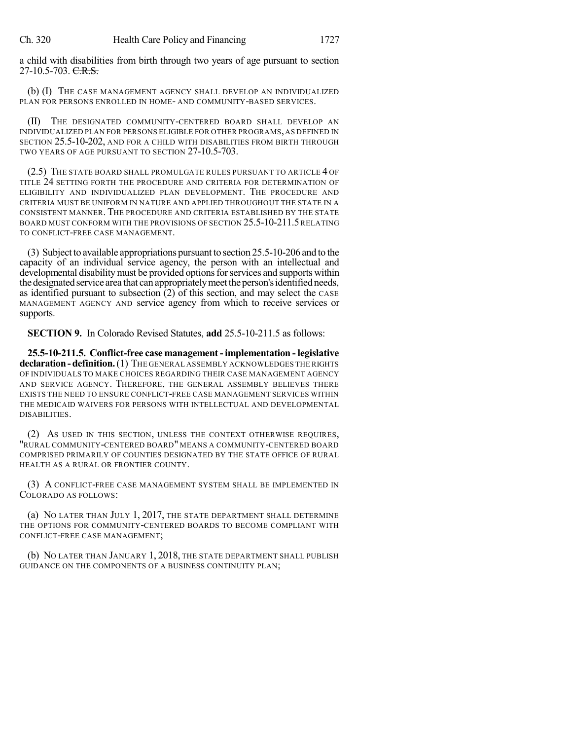a child with disabilities from birth through two years of age pursuant to section  $27-10.5-703.$  C.R.S.

(b) (I) THE CASE MANAGEMENT AGENCY SHALL DEVELOP AN INDIVIDUALIZED PLAN FOR PERSONS ENROLLED IN HOME- AND COMMUNITY-BASED SERVICES.

(II) THE DESIGNATED COMMUNITY-CENTERED BOARD SHALL DEVELOP AN INDIVIDUALIZED PLAN FOR PERSONS ELIGIBLE FOR OTHER PROGRAMS, AS DEFINED IN SECTION 25.5-10-202, AND FOR A CHILD WITH DISABILITIES FROM BIRTH THROUGH TWO YEARS OF AGE PURSUANT TO SECTION 27-10.5-703.

(2.5) THE STATE BOARD SHALL PROMULGATE RULES PURSUANT TO ARTICLE 4 OF TITLE 24 SETTING FORTH THE PROCEDURE AND CRITERIA FOR DETERMINATION OF ELIGIBILITY AND INDIVIDUALIZED PLAN DEVELOPMENT. THE PROCEDURE AND CRITERIA MUST BE UNIFORM IN NATURE AND APPLIED THROUGHOUT THE STATE IN A CONSISTENT MANNER. THE PROCEDURE AND CRITERIA ESTABLISHED BY THE STATE BOARD MUST CONFORM WITH THE PROVISIONS OF SECTION 25.5-10-211.5RELATING TO CONFLICT-FREE CASE MANAGEMENT.

(3) Subject to available appropriations pursuant to section 25.5-10-206 and to the capacity of an individual service agency, the person with an intellectual and developmental disability must be provided options for services and supports within the designated service area that can appropriately meet the person's identified needs, as identified pursuant to subsection (2) of this section, and may select the CASE MANAGEMENT AGENCY AND service agency from which to receive services or supports.

**SECTION 9.** In Colorado Revised Statutes, **add** 25.5-10-211.5 as follows:

**25.5-10-211.5. Conflict-free case management-implementation - legislative declaration-definition.**(1) THE GENERAL ASSEMBLY ACKNOWLEDGES THE RIGHTS OF INDIVIDUALS TO MAKE CHOICES REGARDING THEIR CASE MANAGEMENT AGENCY AND SERVICE AGENCY. THEREFORE, THE GENERAL ASSEMBLY BELIEVES THERE EXISTS THE NEED TO ENSURE CONFLICT-FREE CASE MANAGEMENT SERVICES WITHIN THE MEDICAID WAIVERS FOR PERSONS WITH INTELLECTUAL AND DEVELOPMENTAL DISABILITIES.

(2) AS USED IN THIS SECTION, UNLESS THE CONTEXT OTHERWISE REQUIRES, "RURAL COMMUNITY-CENTERED BOARD" MEANS A COMMUNITY-CENTERED BOARD COMPRISED PRIMARILY OF COUNTIES DESIGNATED BY THE STATE OFFICE OF RURAL HEALTH AS A RURAL OR FRONTIER COUNTY.

(3) A CONFLICT-FREE CASE MANAGEMENT SYSTEM SHALL BE IMPLEMENTED IN COLORADO AS FOLLOWS:

(a) NO LATER THAN JULY 1, 2017, THE STATE DEPARTMENT SHALL DETERMINE THE OPTIONS FOR COMMUNITY-CENTERED BOARDS TO BECOME COMPLIANT WITH CONFLICT-FREE CASE MANAGEMENT;

(b) NO LATER THAN JANUARY 1, 2018, THE STATE DEPARTMENT SHALL PUBLISH GUIDANCE ON THE COMPONENTS OF A BUSINESS CONTINUITY PLAN;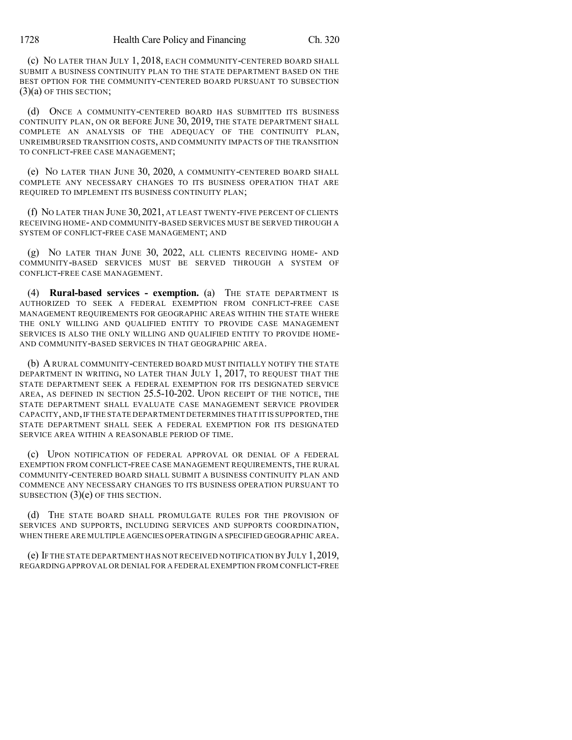(c) NO LATER THAN JULY 1, 2018, EACH COMMUNITY-CENTERED BOARD SHALL SUBMIT A BUSINESS CONTINUITY PLAN TO THE STATE DEPARTMENT BASED ON THE BEST OPTION FOR THE COMMUNITY-CENTERED BOARD PURSUANT TO SUBSECTION  $(3)(a)$  OF THIS SECTION;

(d) ONCE A COMMUNITY-CENTERED BOARD HAS SUBMITTED ITS BUSINESS CONTINUITY PLAN, ON OR BEFORE JUNE 30, 2019, THE STATE DEPARTMENT SHALL COMPLETE AN ANALYSIS OF THE ADEQUACY OF THE CONTINUITY PLAN, UNREIMBURSED TRANSITION COSTS, AND COMMUNITY IMPACTS OF THE TRANSITION TO CONFLICT-FREE CASE MANAGEMENT;

(e) NO LATER THAN JUNE 30, 2020, A COMMUNITY-CENTERED BOARD SHALL COMPLETE ANY NECESSARY CHANGES TO ITS BUSINESS OPERATION THAT ARE REQUIRED TO IMPLEMENT ITS BUSINESS CONTINUITY PLAN;

(f) NO LATER THAN JUNE 30, 2021, AT LEAST TWENTY-FIVE PERCENT OF CLIENTS RECEIVING HOME- AND COMMUNITY-BASED SERVICES MUST BE SERVED THROUGH A SYSTEM OF CONFLICT-FREE CASE MANAGEMENT; AND

(g) NO LATER THAN JUNE 30, 2022, ALL CLIENTS RECEIVING HOME- AND COMMUNITY-BASED SERVICES MUST BE SERVED THROUGH A SYSTEM OF CONFLICT-FREE CASE MANAGEMENT.

(4) **Rural-based services - exemption.** (a) THE STATE DEPARTMENT IS AUTHORIZED TO SEEK A FEDERAL EXEMPTION FROM CONFLICT-FREE CASE MANAGEMENT REQUIREMENTS FOR GEOGRAPHIC AREAS WITHIN THE STATE WHERE THE ONLY WILLING AND QUALIFIED ENTITY TO PROVIDE CASE MANAGEMENT SERVICES IS ALSO THE ONLY WILLING AND QUALIFIED ENTITY TO PROVIDE HOME-AND COMMUNITY-BASED SERVICES IN THAT GEOGRAPHIC AREA.

(b) ARURAL COMMUNITY-CENTERED BOARD MUST INITIALLY NOTIFY THE STATE DEPARTMENT IN WRITING, NO LATER THAN JULY 1, 2017, TO REQUEST THAT THE STATE DEPARTMENT SEEK A FEDERAL EXEMPTION FOR ITS DESIGNATED SERVICE AREA, AS DEFINED IN SECTION 25.5-10-202. UPON RECEIPT OF THE NOTICE, THE STATE DEPARTMENT SHALL EVALUATE CASE MANAGEMENT SERVICE PROVIDER CAPACITY, AND, IF THE STATE DEPARTMENT DETERMINES THAT IT IS SUPPORTED, THE STATE DEPARTMENT SHALL SEEK A FEDERAL EXEMPTION FOR ITS DESIGNATED SERVICE AREA WITHIN A REASONABLE PERIOD OF TIME.

(c) UPON NOTIFICATION OF FEDERAL APPROVAL OR DENIAL OF A FEDERAL EXEMPTION FROM CONFLICT-FREE CASE MANAGEMENT REQUIREMENTS, THE RURAL COMMUNITY-CENTERED BOARD SHALL SUBMIT A BUSINESS CONTINUITY PLAN AND COMMENCE ANY NECESSARY CHANGES TO ITS BUSINESS OPERATION PURSUANT TO SUBSECTION (3)(e) OF THIS SECTION.

(d) THE STATE BOARD SHALL PROMULGATE RULES FOR THE PROVISION OF SERVICES AND SUPPORTS, INCLUDING SERVICES AND SUPPORTS COORDINATION, WHEN THERE ARE MULTIPLE AGENCIES OPERATINGIN A SPECIFIED GEOGRAPHIC AREA.

(e) IF THE STATE DEPARTMENT HAS NOT RECEIVED NOTIFICATION BY JULY 1,2019, REGARDING APPROVAL OR DENIAL FOR A FEDERAL EXEMPTION FROM CONFLICT-FREE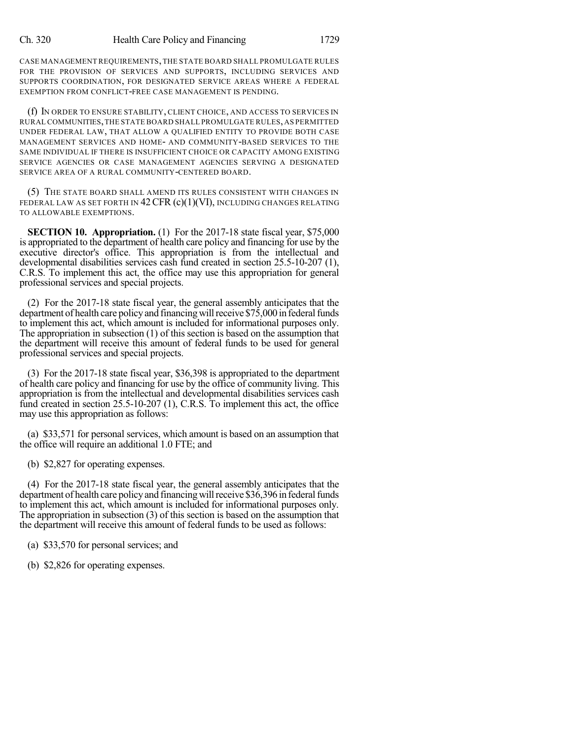CASE MANAGEMENT REQUIREMENTS,THE STATE BOARD SHALL PROMULGATE RULES FOR THE PROVISION OF SERVICES AND SUPPORTS, INCLUDING SERVICES AND SUPPORTS COORDINATION, FOR DESIGNATED SERVICE AREAS WHERE A FEDERAL EXEMPTION FROM CONFLICT-FREE CASE MANAGEMENT IS PENDING.

(f) IN ORDER TO ENSURE STABILITY, CLIENT CHOICE, AND ACCESS TO SERVICES IN RURAL COMMUNITIES,THE STATE BOARD SHALL PROMULGATE RULES,AS PERMITTED UNDER FEDERAL LAW, THAT ALLOW A QUALIFIED ENTITY TO PROVIDE BOTH CASE MANAGEMENT SERVICES AND HOME- AND COMMUNITY-BASED SERVICES TO THE SAME INDIVIDUAL IF THERE IS INSUFFICIENT CHOICE OR CAPACITY AMONG EXISTING SERVICE AGENCIES OR CASE MANAGEMENT AGENCIES SERVING A DESIGNATED SERVICE AREA OF A RURAL COMMUNITY-CENTERED BOARD.

(5) THE STATE BOARD SHALL AMEND ITS RULES CONSISTENT WITH CHANGES IN FEDERAL LAW AS SET FORTH IN  $42$  CFR (c)(1)(VI), INCLUDING CHANGES RELATING TO ALLOWABLE EXEMPTIONS.

**SECTION 10. Appropriation.** (1) For the 2017-18 state fiscal year, \$75,000 is appropriated to the department of health care policy and financing for use by the executive director's office. This appropriation is from the intellectual and developmental disabilities services cash fund created in section 25.5-10-207 (1), C.R.S. To implement this act, the office may use this appropriation for general professional services and special projects.

(2) For the 2017-18 state fiscal year, the general assembly anticipates that the department of health care policy and financing will receive \$75,000 in federal funds to implement this act, which amount is included for informational purposes only. The appropriation in subsection (1) of this section is based on the assumption that the department will receive this amount of federal funds to be used for general professional services and special projects.

(3) For the 2017-18 state fiscal year, \$36,398 is appropriated to the department of health care policy and financing for use by the office of community living. This appropriation is from the intellectual and developmental disabilities services cash fund created in section 25.5-10-207 (1), C.R.S. To implement this act, the office may use this appropriation as follows:

(a) \$33,571 for personal services, which amount is based on an assumption that the office will require an additional 1.0 FTE; and

(b) \$2,827 for operating expenses.

(4) For the 2017-18 state fiscal year, the general assembly anticipates that the department of health care policy and financing will receive \$36,396 in federal funds to implement this act, which amount is included for informational purposes only. The appropriation in subsection (3) of this section is based on the assumption that the department will receive this amount of federal funds to be used as follows:

(a) \$33,570 for personal services; and

(b) \$2,826 for operating expenses.